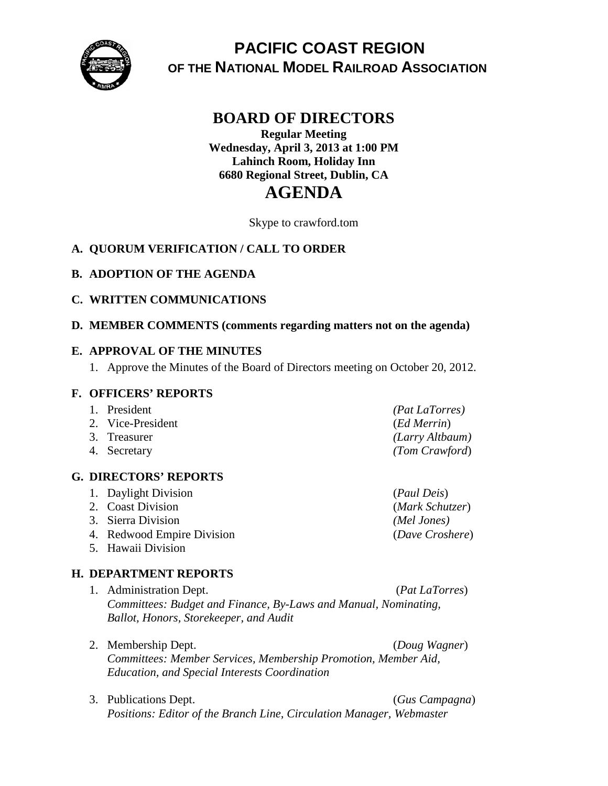

# **PACIFIC COAST REGION OF THE NATIONAL MODEL RAILROAD ASSOCIATION**

## **BOARD OF DIRECTORS**

**Regular Meeting Wednesday, April 3, 2013 at 1:00 PM Lahinch Room, Holiday Inn 6680 Regional Street, Dublin, CA AGENDA**

Skype to crawford.tom

## **A. QUORUM VERIFICATION / CALL TO ORDER**

#### **B. ADOPTION OF THE AGENDA**

#### **C. WRITTEN COMMUNICATIONS**

#### **D. MEMBER COMMENTS (comments regarding matters not on the agenda)**

#### **E. APPROVAL OF THE MINUTES**

1. Approve the Minutes of the Board of Directors meeting on October 20, 2012.

#### **F. OFFICERS' REPORTS**

| 1. President      | <i>(Pat LaTorres)</i> |
|-------------------|-----------------------|
| 2. Vice-President | (Ed Merrin)           |
| 3. Treasurer      | (Larry Altbaum)       |
| 4. Secretary      | (Tom Crawford)        |

#### **G. DIRECTORS' REPORTS**

- 1. Daylight Division (*Paul Deis*)
- 
- 3. Sierra Division *(Mel Jones)*
- 4. Redwood Empire Division (*Dave Croshere*)
- 5. Hawaii Division

### **H. DEPARTMENT REPORTS**

- 1. Administration Dept. (*Pat LaTorres*) *Committees: Budget and Finance, By-Laws and Manual, Nominating, Ballot, Honors, Storekeeper, and Audit*
- 2. Membership Dept. (*Doug Wagner*) *Committees: Member Services, Membership Promotion, Member Aid, Education, and Special Interests Coordination*
- 3. Publications Dept. (*Gus Campagna*) *Positions: Editor of the Branch Line, Circulation Manager, Webmaster*

2. Coast Division (*Mark Schutzer*)